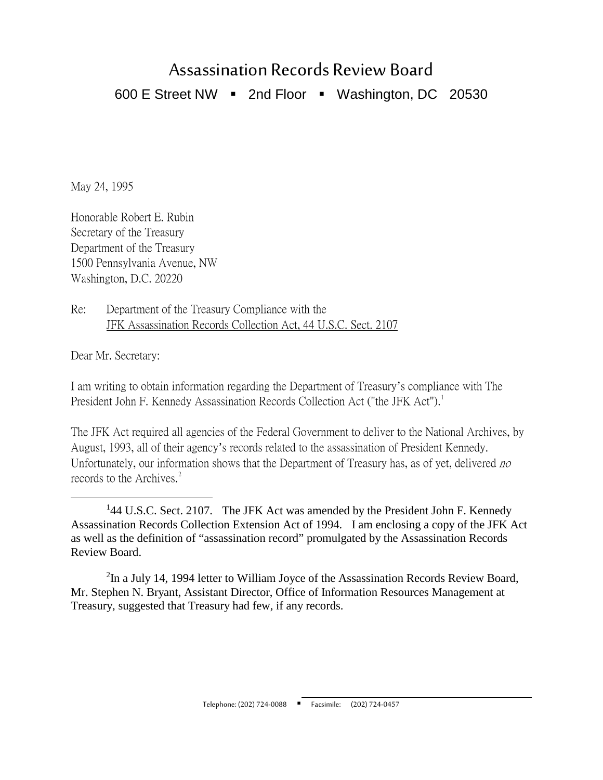## Assassination Records Review Board 600 E Street NW  $\blacksquare$  2nd Floor  $\blacksquare$  Washington, DC 20530

May 24, 1995

Honorable Robert E. Rubin Secretary of the Treasury Department of the Treasury 1500 Pennsylvania Avenue, NW Washington, D.C. 20220

Re: Department of the Treasury Compliance with the JFK Assassination Records Collection Act, 44 U.S.C. Sect. 2107

Dear Mr. Secretary:

I am writing to obtain information regarding the Department of Treasury's compliance with The President John F. Kennedy Assassination Records Collection Act ("the JFK Act").<sup>[1](#page-0-0)</sup>

The JFK Act required all agencies of the Federal Government to deliver to the National Archives, by August, 1993, all of their agency's records related to the assassination of President Kennedy. Unfortunately, our information shows that the Department of Treasury has, as of yet, delivered no records to the Archives.<sup>[2](#page-0-1)</sup>

<span id="page-0-0"></span>1<sup>1</sup> <sup>1</sup>44 U.S.C. Sect. 2107. The JFK Act was amended by the President John F. Kennedy Assassination Records Collection Extension Act of 1994. I am enclosing a copy of the JFK Act as well as the definition of "assassination record" promulgated by the Assassination Records Review Board.

<span id="page-0-1"></span> $2$ In a July 14, 1994 letter to William Joyce of the Assassination Records Review Board, Mr. Stephen N. Bryant, Assistant Director, Office of Information Resources Management at Treasury, suggested that Treasury had few, if any records.